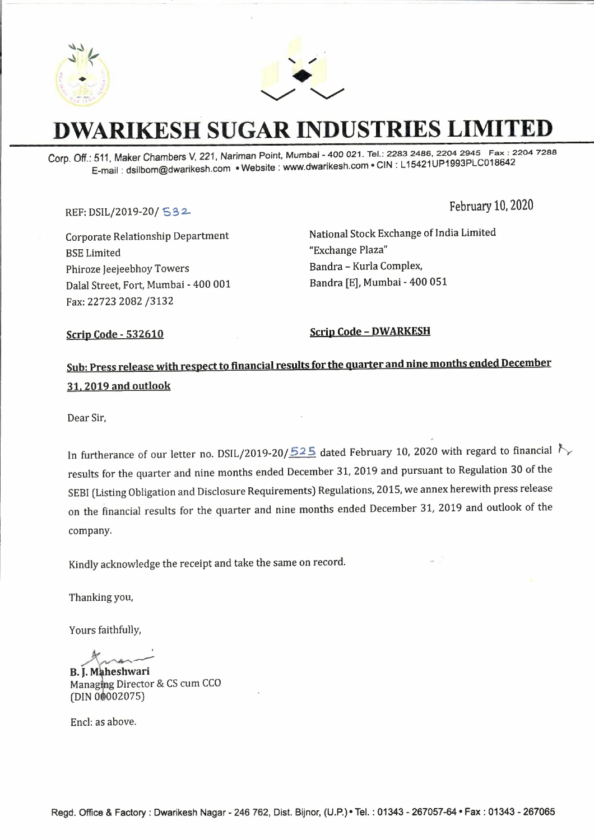



## **DWARIKESH SUGAR INDUSTRIES LIMITED**

Corp. Off.: 511, Maker Chambers *V,* 221, Nariman Point, Mumbai - 400 021. Tel.: 2283 2486, 2204 2945 Fax: 2204 7288 E-mail: dsilbom@dwarikesh.com •Website: www.dwarikesh.com •GIN: L 15421UP1993PLC018642

#### REF: DSIL/2019-20/ **S32-**

February 10, 2020

Corporate Relationship Department **BSE** Limited Phiroze Jeejeebhoy Towers Dalal Street, Fort, Mumbai - 400 001 Fax: 22723 2082 /3132

National Stock Exchange of India Limited "Exchange Plaza" Sandra - Kurla Complex, Sandra [E], Mumbai - 400 051

Scrip Code - 532610 Scrip Code - **DWARKESH** 

### **Sub: Press release with respect to financial results for the quarter and nine months ended December 31. 2019 and outlook**

Dear Sir,

In furtherance of our letter no. DSIL/2019-20/525 dated February 10, 2020 with regard to financial  $\zeta$ results for the quarter and nine months ended December 31, 2019 and pursuant to Regulation 30 of the SESI (Listing Obligation and Disclosure Requirements) Regulations, 2015, we annex herewith press release on the financial results for the quarter and nine months ended December 31, 2019 and outlook of the company.

Kindly acknowledge the receipt and take the same on record.

Thanking you,

Yours faithfully,

 $\frac{1}{\sqrt{2}}$ 

**B. J. Maheshwari** Managing Director & CS cum CCO (DIN 00002075)

Encl: as above.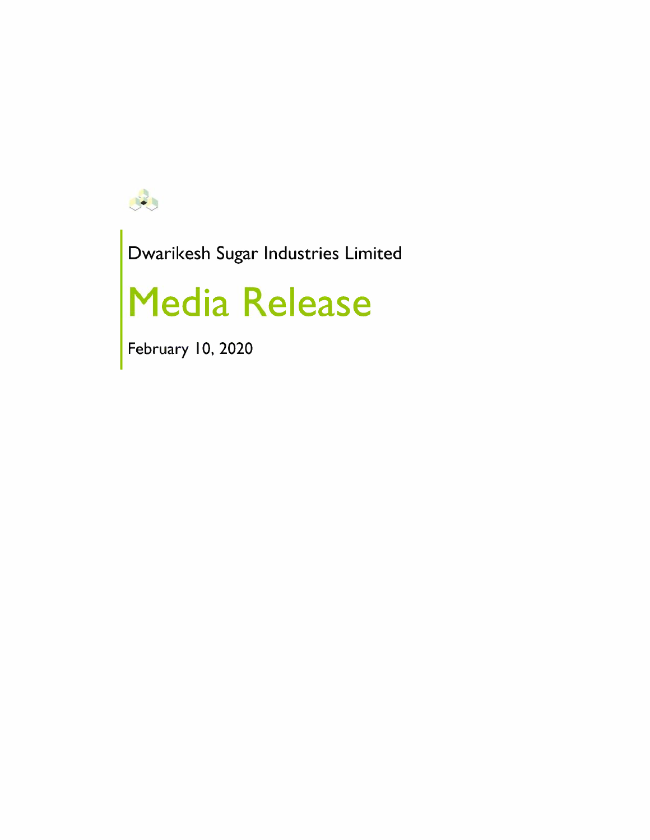

Dwarikesh Sugar Industries Limited

# **Media Release**

February 10, 2020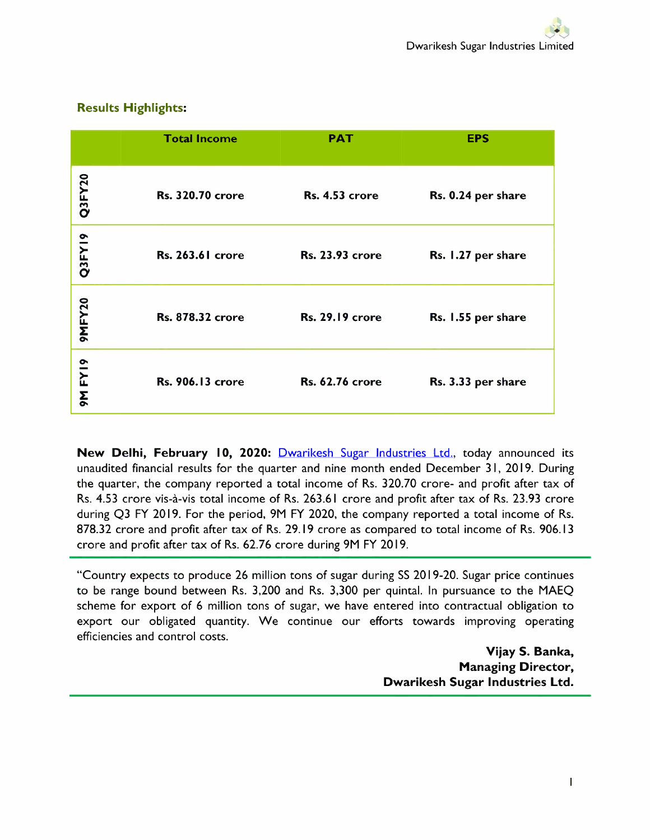|         | <b>Total Income</b>     | <b>PAT</b>             | <b>EPS</b>         |
|---------|-------------------------|------------------------|--------------------|
| Q3FY20  | <b>Rs. 320.70 crore</b> | <b>Rs. 4.53 crore</b>  | Rs. 0.24 per share |
| Q3FY19  | <b>Rs. 263.61 crore</b> | <b>Rs. 23.93 crore</b> | Rs. 1.27 per share |
| 9MFY20  | <b>Rs. 878.32 crore</b> | <b>Rs. 29.19 crore</b> | Rs. 1.55 per share |
| 9M FY19 | <b>Rs. 906.13 crore</b> | <b>Rs. 62.76 crore</b> | Rs. 3.33 per share |

#### Results Highlights:

**New Delhi, February 10, 2020:** Dwarikesh Sugar Industries Ltd., today announced its unaudited financial results for the quarter and nine month ended December 31, 2019. During the quarter, the company reported a total income of Rs. 320.70 crore- and profit after tax of Rs. 4.53 crore vis-a-vis total income of Rs. 263.61 crore and profit after tax of Rs. 23.93 crore during Q3 FY 2019. For the period, 9M FY 2020, the company reported a total income of Rs. 878.32 crore and profit after tax of Rs. 29.19 crore as compared to total income of Rs. 906.13 crore and profit after tax of Rs. 62.76 crore during 9M FY 2019.

"Country expects to produce 26 million tons of sugar during SS 2019-20. Sugar price continues to be range bound between Rs. 3,200 and Rs. 3,300 per quintal. In pursuance to the MAEQ scheme for export of 6 million tons of sugar, we have entered into contractual obligation to export our obligated quantity. We continue our efforts towards improving operating efficiencies and control costs.

> **Vijay S. Banka, Managing Director, Dwarikesh Sugar Industries Ltd.**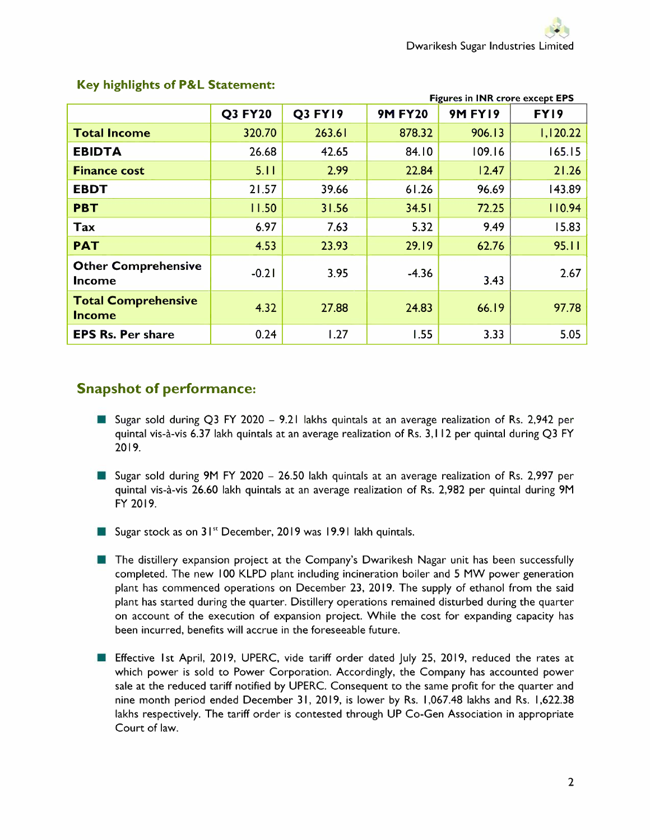|                                             | <b>Figures in INR crore except EPS</b> |                |                |                |          |  |
|---------------------------------------------|----------------------------------------|----------------|----------------|----------------|----------|--|
|                                             | <b>Q3 FY20</b>                         | <b>Q3 FY19</b> | <b>9M FY20</b> | <b>9M FY19</b> | FY19     |  |
| <b>Total Income</b>                         | 320.70                                 | 263.61         | 878.32         | 906.13         | 1,120.22 |  |
| <b>EBIDTA</b>                               | 26.68                                  | 42.65          | 84.10          | 109.16         | 165.15   |  |
| <b>Finance cost</b>                         | 5.11                                   | 2.99           | 22.84          | 12.47          | 21.26    |  |
| <b>EBDT</b>                                 | 21.57                                  | 39.66          | 61.26          | 96.69          | 143.89   |  |
| <b>PBT</b>                                  | 11.50                                  | 31.56          | 34.51          | 72.25          | 110.94   |  |
| Tax                                         | 6.97                                   | 7.63           | 5.32           | 9.49           | 15.83    |  |
| <b>PAT</b>                                  | 4.53                                   | 23.93          | 29.19          | 62.76          | 95.11    |  |
| <b>Other Comprehensive</b><br><b>Income</b> | $-0.21$                                | 3.95           | $-4.36$        | 3.43           | 2.67     |  |
| <b>Total Comprehensive</b><br><b>Income</b> | 4.32                                   | 27.88          | 24.83          | 66.19          | 97.78    |  |
| <b>EPS Rs. Per share</b>                    | 0.24                                   | 1.27           | 1.55           | 3.33           | 5.05     |  |

#### **Key highlights of P&L Statement:**

#### **Snapshot of performance:**

- Sugar sold during Q3 FY 2020 9.21 lakhs quintals at an average realization of Rs. 2,942 per quintal vis-a-vis 6.37 lakh quintals at an average realization of Rs. 3, I 12 per quintal during Q3 FY 2019.
- Sugar sold during 9M FY 2020 26.50 lakh quintals at an average realization of Rs. 2,997 per quintal vis-a-vis 26.60 lakh quintals at an average realization of Rs. 2,982 per quintal during 9M FY 2019.
- Sugar stock as on 31" December, 2019 was 19.91 lakh quintals.
- **The distillery expansion project at the Company's Dwarikesh Nagar unit has been successfully** completed. The new 100 KLPD plant including incineration boiler and 5 MW power generation plant has commenced operations on December 23, 2019. The supply of ethanol from the said plant has started during the quarter. Distillery operations remained disturbed during the quarter on account of the execution of expansion project. While the cost for expanding capacity has been incurred, benefits will accrue in the foreseeable future.
- **Effective 1st April, 2019, UPERC, vide tariff order dated July 25, 2019, reduced the rates at** which power is sold to Power Corporation. Accordingly, the Company has accounted power sale at the reduced tariff notified by UPERC. Consequent to the same profit for the quarter and nine month period ended December 31, 2019, is lower by Rs. 1,067.48 lakhs and Rs. 1,622.38 lakhs respectively. The tariff order is contested through UP Co-Gen Association in appropriate Court of law.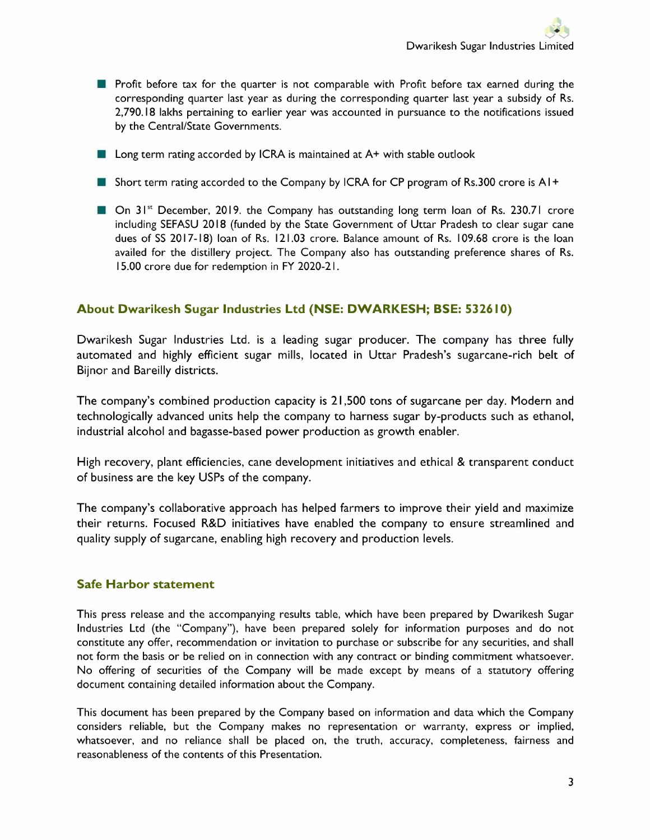- Profit before tax for the quarter is not comparable with Profit before tax earned during the corresponding quarter last year as during the corresponding quarter last year a subsidy of Rs. 2,790.18 lakhs pertaining to earlier year was accounted in pursuance to the notifications issued by the Central/State Governments.
- Long term rating accorded by ICRA is maintained at A+ with stable outlook
- Short term rating accorded to the Company by ICRA for CP program of Rs.300 crore is A I +
- On 31<sup>st</sup> December, 2019. the Company has outstanding long term loan of Rs. 230.71 crore including SEFASU 2018 (funded by the State Government of Uttar Pradesh to clear sugar cane dues of SS 2017-18) loan of Rs. 121.03 crore. Balance amount of Rs. I 09.68 crore is the loan availed for the distillery project. The Company also has outstanding preference shares of Rs. 15.00 crore due for redemption in FY 2020-21.

#### **About Dwarikesh Sugar Industries Ltd (NSE: DWARKESH; BSE: 532610)**

Dwarikesh Sugar Industries Ltd. is a leading sugar producer. The company has three fully automated and highly efficient sugar mills, located in Uttar Pradesh's sugarcane-rich belt of Bijnor and Bareilly districts.

The company's combined production capacity is 21,500 tons of sugarcane per day. Modern and technologically advanced units help the company to harness sugar by-products such as ethanol, industrial alcohol and bagasse-based power production as growth enabler.

High recovery, plant efficiencies, cane development initiatives and ethical & transparent conduct of business are the key USPs of the company.

The company's collaborative approach has helped farmers to improve their yield and maximize their returns. Focused R&D initiatives have enabled the company to ensure streamlined and quality supply of sugarcane, enabling high recovery and production levels.

#### **Safe Harbor statement**

This press release and the accompanying results table, which have been prepared by Dwarikesh Sugar Industries Ltd (the "Company"), have been prepared solely for information purposes and do not constitute any offer, recommendation or invitation to purchase or subscribe for any securities, and shall not form the basis or be relied on in connection with any contract or binding commitment whatsoever. No offering of securities of the Company will be made except by means of a statutory offering document containing detailed information about the Company.

This document has been prepared by the Company based on information and data which the Company considers reliable, but the Company makes no representation or warranty, express or implied, whatsoever, and no reliance shall be placed on, the truth, accuracy, completeness, fairness and reasonableness of the contents of this Presentation.